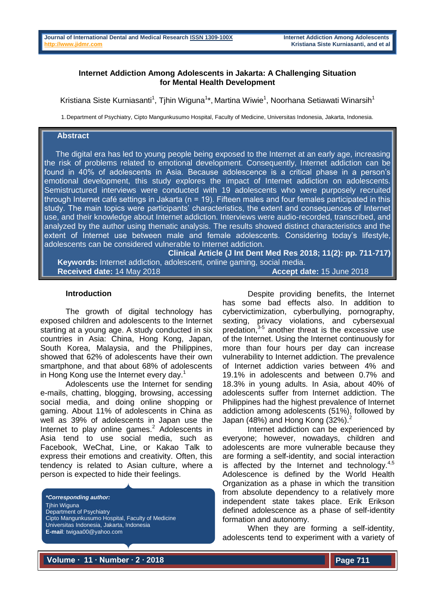## **Internet Addiction Among Adolescents in Jakarta: A Challenging Situation for Mental Health Development**

Kristiana Siste Kurniasanti<sup>1</sup>, Tjhin Wiguna<sup>1</sup>\*, Martina Wiwie<sup>1</sup>, Noorhana Setiawati Winarsih<sup>1</sup>

1.Department of Psychiatry, Cipto Mangunkusumo Hospital, Faculty of Medicine, Universitas Indonesia, Jakarta, Indonesia.

## **Abstract**

The digital era has led to young people being exposed to the Internet at an early age, increasing the risk of problems related to emotional development. Consequently, Internet addiction can be found in 40% of adolescents in Asia. Because adolescence is a critical phase in a person's emotional development, this study explores the impact of Internet addiction on adolescents. Semistructured interviews were conducted with 19 adolescents who were purposely recruited through Internet café settings in Jakarta (n = 19). Fifteen males and four females participated in this study. The main topics were participants' characteristics, the extent and consequences of Internet use, and their knowledge about Internet addiction. Interviews were audio-recorded, transcribed, and analyzed by the author using thematic analysis. The results showed distinct characteristics and the extent of Internet use between male and female adolescents. Considering today's lifestyle, adolescents can be considered vulnerable to Internet addiction.

**Clinical Article (J Int Dent Med Res 2018; 11(2): pp. 711-717) Keywords:** Internet addiction, adolescent, online gaming, social media. **Received date:** 14 May 2018 **Accept date:** 15 June 2018

### **Introduction**

The growth of digital technology has exposed children and adolescents to the Internet starting at a young age. A study conducted in six countries in Asia: China, Hong Kong, Japan, South Korea, Malaysia, and the Philippines, showed that 62% of adolescents have their own smartphone, and that about 68% of adolescents in Hong Kong use the Internet every day.<sup>1</sup>

Adolescents use the Internet for sending e-mails, chatting, blogging, browsing, accessing social media, and doing online shopping or gaming. About 11% of adolescents in China as well as 39% of adolescents in Japan use the Internet to play online games.<sup>2</sup> Adolescents in Asia tend to use social media, such as Facebook, WeChat, Line, or Kakao Talk to express their emotions and creativity. Often, this tendency is related to Asian culture, where a person is expected to hide their feelings.

*\*Corresponding author:* **Tihin Wiguna** Department of Psychiatry Cipto Mangunkusumo Hospital, Faculty of Medicine Universitas Indonesia, Jakarta, Indonesia **E-mail**: twigaa00@yahoo.com

Despite providing benefits, the Internet has some bad effects also. In addition to cybervictimization, cyberbullying, pornography, sexting, privacy violations, and cybersexual predation,<sup>3-5</sup> another threat is the excessive use of the Internet. Using the Internet continuously for more than four hours per day can increase vulnerability to Internet addiction. The prevalence of Internet addiction varies between 4% and 19.1% in adolescents and between 0.7% and 18.3% in young adults. In Asia, about 40% of adolescents suffer from Internet addiction. The Philippines had the highest prevalence of Internet addiction among adolescents (51%), followed by Japan (48%) and Hong Kong  $(32\%)$ .

Internet addiction can be experienced by everyone; however, nowadays, children and adolescents are more vulnerable because they are forming a self-identity, and social interaction is affected by the Internet and technology. $4,5$ Adolescence is defined by the World Health Organization as a phase in which the transition from absolute dependency to a relatively more independent state takes place. Erik Erikson defined adolescence as a phase of self-identity formation and autonomy.

When they are forming a self-identity, adolescents tend to experiment with a variety of

**Volume ∙ 11 ∙ Number ∙ 2 ∙ 2018**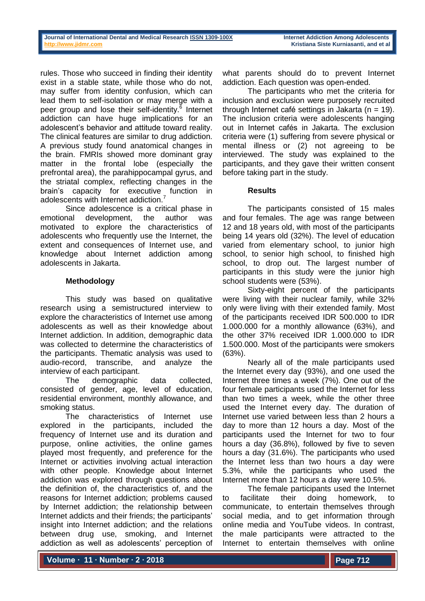rules. Those who succeed in finding their identity exist in a stable state, while those who do not, may suffer from identity confusion, which can lead them to self-isolation or may merge with a peer group and lose their self-identity.<sup>6</sup> Internet addiction can have huge implications for an adolescent's behavior and attitude toward reality. The clinical features are similar to drug addiction. A previous study found anatomical changes in the brain. FMRIs showed more dominant gray matter in the frontal lobe (especially the prefrontal area), the parahippocampal gyrus, and the striatal complex, reflecting changes in the brain's capacity for executive function in adolescents with Internet addiction.<sup>7</sup>

Since adolescence is a critical phase in emotional development, the author was motivated to explore the characteristics of adolescents who frequently use the Internet, the extent and consequences of Internet use, and knowledge about Internet addiction among adolescents in Jakarta.

## **Methodology**

This study was based on qualitative research using a semistructured interview to explore the characteristics of Internet use among adolescents as well as their knowledge about Internet addiction. In addition, demographic data was collected to determine the characteristics of the participants. Thematic analysis was used to audio-record, transcribe, and analyze the interview of each participant.

The demographic data collected, consisted of gender, age, level of education, residential environment, monthly allowance, and smoking status.

The characteristics of Internet use explored in the participants, included the frequency of Internet use and its duration and purpose, online activities, the online games played most frequently, and preference for the Internet or activities involving actual interaction with other people. Knowledge about Internet addiction was explored through questions about the definition of, the characteristics of, and the reasons for Internet addiction; problems caused by Internet addiction; the relationship between Internet addicts and their friends; the participants' insight into Internet addiction; and the relations between drug use, smoking, and Internet addiction as well as adolescents' perception of

what parents should do to prevent Internet addiction. Each question was open-ended.

The participants who met the criteria for inclusion and exclusion were purposely recruited through Internet café settings in Jakarta ( $n = 19$ ). The inclusion criteria were adolescents hanging out in Internet cafés in Jakarta. The exclusion criteria were (1) suffering from severe physical or mental illness or (2) not agreeing to be interviewed. The study was explained to the participants, and they gave their written consent before taking part in the study.

# **Results**

The participants consisted of 15 males and four females. The age was range between 12 and 18 years old, with most of the participants being 14 years old (32%). The level of education varied from elementary school, to junior high school, to senior high school, to finished high school, to drop out. The largest number of participants in this study were the junior high school students were (53%).

Sixty-eight percent of the participants were living with their nuclear family, while 32% only were living with their extended family. Most of the participants received IDR 500.000 to IDR 1.000.000 for a monthly allowance (63%), and the other 37% received IDR 1.000.000 to IDR 1.500.000. Most of the participants were smokers (63%).

Nearly all of the male participants used the Internet every day (93%), and one used the Internet three times a week (7%). One out of the four female participants used the Internet for less than two times a week, while the other three used the Internet every day. The duration of Internet use varied between less than 2 hours a day to more than 12 hours a day. Most of the participants used the Internet for two to four hours a day (36.8%), followed by five to seven hours a day (31.6%). The participants who used the Internet less than two hours a day were 5.3%, while the participants who used the Internet more than 12 hours a day were 10.5%.

The female participants used the Internet to facilitate their doing homework, to communicate, to entertain themselves through social media, and to get information through online media and YouTube videos. In contrast, the male participants were attracted to the Internet to entertain themselves with online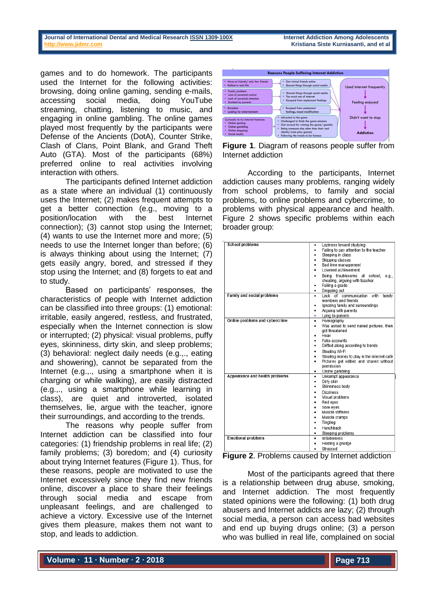games and to do homework. The participants used the Internet for the following activities: browsing, doing online gaming, sending e-mails, accessing social media, doing YouTube streaming, chatting, listening to music, and engaging in online gambling. The online games played most frequently by the participants were Defense of the Ancients (DotA), Counter Strike, Clash of Clans, Point Blank, and Grand Theft Auto (GTA). Most of the participants (68%) preferred online to real activities involving interaction with others.

The participants defined Internet addiction as a state where an individual (1) continuously uses the Internet; (2) makes frequent attempts to get a better connection (e.g., moving to a position/location with the best Internet connection); (3) cannot stop using the Internet; (4) wants to use the Internet more and more; (5) needs to use the Internet longer than before; (6) is always thinking about using the Internet; (7) gets easily angry, bored, and stressed if they stop using the Internet; and (8) forgets to eat and to study.

Based on participants' responses, the characteristics of people with Internet addiction can be classified into three groups: (1) emotional: irritable, easily angered, restless, and frustrated, especially when the Internet connection is slow or interrupted; (2) physical: visual problems, puffy eyes, skinniness, dirty skin, and sleep problems; (3) behavioral: neglect daily needs (e.g.,., eating and showering), cannot be separated from the Internet (e.g.,., using a smartphone when it is charging or while walking), are easily distracted (e.g.,., using a smartphone while learning in class), are quiet and introverted, isolated themselves, lie, argue with the teacher, ignore their surroundings, and according to the trends.

The reasons why people suffer from Internet addiction can be classified into four categories: (1) friendship problems in real life; (2) family problems; (3) boredom; and (4) curiosity about trying Internet features (Figure 1). Thus, for these reasons, people are motivated to use the Internet excessively since they find new friends online, discover a place to share their feelings through social media and escape from unpleasant feelings, and are challenged to achieve a victory. Excessive use of the Internet gives them pleasure, makes them not want to stop, and leads to addiction.





According to the participants, Internet addiction causes many problems, ranging widely from school problems, to family and social problems, to online problems and cybercrime, to problems with physical appearance and health. Figure 2 shows specific problems within each broader group:

| <b>School problems</b>            | Laziness toward studying<br>٠<br>Failing to pay attention to the teacher<br>٠<br>Sleeping in class<br>Skipping classes<br>Bad time management<br>Lowered achievement<br>Being troublesome at school,<br>e.a<br>cheating, arguing with teacher<br>Failing a grade<br>٠<br>Dropping out<br>٠                      |
|-----------------------------------|-----------------------------------------------------------------------------------------------------------------------------------------------------------------------------------------------------------------------------------------------------------------------------------------------------------------|
| <b>Family and social problems</b> | Lack of communication<br>with<br>family<br>٠<br>members and friends<br>Ignoring family and surroundings<br>Arguing with parents<br>٠<br>Lying to parents<br>٠                                                                                                                                                   |
| Online problems and cybercrime    | Pornography<br>٠<br>Was asked to send naked pictures, then<br>٠<br>got threatened<br>Hoax<br>Fake accounts<br>Drifted along according to trends<br>٠<br>Stealing Wi-Fi<br>٠<br>Stealing money to play in the internet café<br>٠<br>Pictures get edited and shared without<br>permission<br>Online gambling<br>٠ |
| Appearance and health problems    | Unkempt appearance<br>٠<br>Dirty skin<br>٠<br>Skinniness body<br>٠<br><b>Dizziness</b><br>٠<br>Visual problems<br>٠<br>Red eves<br>٠<br>Sore eyes<br>٠<br>Muscle stiffness<br>Muscle cramps<br>Tingling<br>٠<br>Hunchback<br>$\bullet$<br>Sleeping problems<br>٠                                                |
| <b>Emotional problems</b>         | Irritableness<br>٠<br>Holding a grudge<br>Stressed                                                                                                                                                                                                                                                              |

**Figure 2**. Problems caused by Internet addiction

Most of the participants agreed that there is a relationship between drug abuse, smoking, and Internet addiction. The most frequently stated opinions were the following: (1) both drug abusers and Internet addicts are lazy; (2) through social media, a person can access bad websites and end up buying drugs online; (3) a person who was bullied in real life, complained on social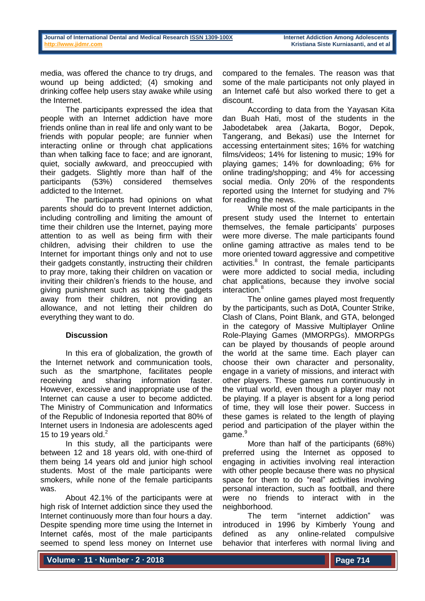media, was offered the chance to try drugs, and wound up being addicted; (4) smoking and drinking coffee help users stay awake while using the Internet.

The participants expressed the idea that people with an Internet addiction have more friends online than in real life and only want to be friends with popular people; are funnier when interacting online or through chat applications than when talking face to face; and are ignorant, quiet, socially awkward, and preoccupied with their gadgets. Slightly more than half of the participants (53%) considered themselves addicted to the Internet.

The participants had opinions on what parents should do to prevent Internet addiction, including controlling and limiting the amount of time their children use the Internet, paying more attention to as well as being firm with their children, advising their children to use the Internet for important things only and not to use their gadgets constantly, instructing their children to pray more, taking their children on vacation or inviting their children's friends to the house, and giving punishment such as taking the gadgets away from their children, not providing an allowance, and not letting their children do everything they want to do.

## **Discussion**

In this era of globalization, the growth of the Internet network and communication tools, such as the smartphone, facilitates people receiving and sharing information faster. However, excessive and inappropriate use of the Internet can cause a user to become addicted. The Ministry of Communication and Informatics of the Republic of Indonesia reported that 80% of Internet users in Indonesia are adolescents aged 15 to 19 years old. $<sup>2</sup>$ </sup>

In this study, all the participants were between 12 and 18 years old, with one-third of them being 14 years old and junior high school students. Most of the male participants were smokers, while none of the female participants was.

About 42.1% of the participants were at high risk of Internet addiction since they used the Internet continuously more than four hours a day. Despite spending more time using the Internet in Internet cafés, most of the male participants seemed to spend less money on Internet use

compared to the females. The reason was that some of the male participants not only played in an Internet café but also worked there to get a discount.

According to data from the Yayasan Kita dan Buah Hati, most of the students in the Jabodetabek area (Jakarta, Bogor, Depok, Tangerang, and Bekasi) use the Internet for accessing entertainment sites; 16% for watching films/videos; 14% for listening to music; 19% for playing games; 14% for downloading; 6% for online trading/shopping; and 4% for accessing social media. Only 20% of the respondents reported using the Internet for studying and 7% for reading the news.

While most of the male participants in the present study used the Internet to entertain themselves, the female participants' purposes were more diverse. The male participants found online gaming attractive as males tend to be more oriented toward aggressive and competitive activities.<sup>8</sup> In contrast, the female participants were more addicted to social media, including chat applications, because they involve social interaction.<sup>8</sup>

The online games played most frequently by the participants, such as DotA, Counter Strike, Clash of Clans, Point Blank, and GTA, belonged in the category of Massive Multiplayer Online Role-Playing Games (MMORPGs). MMORPGs can be played by thousands of people around the world at the same time. Each player can choose their own character and personality, engage in a variety of missions, and interact with other players. These games run continuously in the virtual world, even though a player may not be playing. If a player is absent for a long period of time, they will lose their power. Success in these games is related to the length of playing period and participation of the player within the game.<sup>9</sup>

More than half of the participants (68%) preferred using the Internet as opposed to engaging in activities involving real interaction with other people because there was no physical space for them to do "real" activities involving personal interaction, such as football, and there were no friends to interact with in the neighborhood.

The term "internet addiction" was introduced in 1996 by Kimberly Young and defined as any online-related compulsive behavior that interferes with normal living and

**Volume ∙ 11 ∙ Number ∙ 2 ∙ 2018**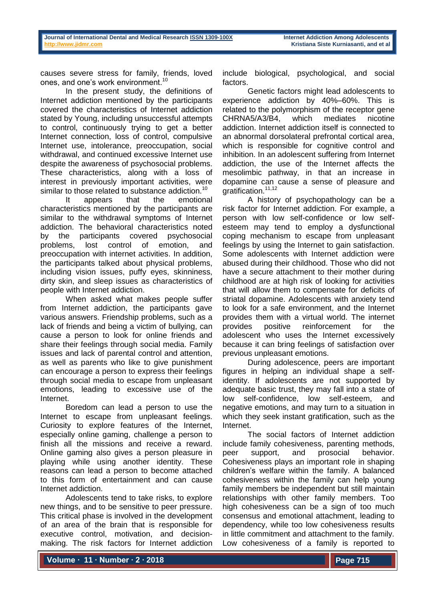causes severe stress for family, friends, loved ones, and one's work environment.<sup>10</sup>

In the present study, the definitions of Internet addiction mentioned by the participants covered the characteristics of Internet addiction stated by Young, including unsuccessful attempts to control, continuously trying to get a better Internet connection, loss of control, compulsive Internet use, intolerance, preoccupation, social withdrawal, and continued excessive Internet use despite the awareness of psychosocial problems. These characteristics, along with a loss of interest in previously important activities, were similar to those related to substance addiction.<sup>10</sup>

It appears that the emotional characteristics mentioned by the participants are similar to the withdrawal symptoms of Internet addiction. The behavioral characteristics noted by the participants covered psychosocial problems, lost control of emotion, and preoccupation with internet activities. In addition, the participants talked about physical problems, including vision issues, puffy eyes, skinniness, dirty skin, and sleep issues as characteristics of people with Internet addiction.

When asked what makes people suffer from Internet addiction, the participants gave various answers. Friendship problems, such as a lack of friends and being a victim of bullying, can cause a person to look for online friends and share their feelings through social media. Family issues and lack of parental control and attention, as well as parents who like to give punishment can encourage a person to express their feelings through social media to escape from unpleasant emotions, leading to excessive use of the Internet.

Boredom can lead a person to use the Internet to escape from unpleasant feelings. Curiosity to explore features of the Internet, especially online gaming, challenge a person to finish all the missions and receive a reward. Online gaming also gives a person pleasure in playing while using another identity. These reasons can lead a person to become attached to this form of entertainment and can cause Internet addiction.

Adolescents tend to take risks, to explore new things, and to be sensitive to peer pressure. This critical phase is involved in the development of an area of the brain that is responsible for executive control, motivation, and decisionmaking. The risk factors for Internet addiction include biological, psychological, and social factors.

Genetic factors might lead adolescents to experience addiction by 40%–60%. This is related to the polymorphism of the receptor gene CHRNA5/A3/B4, which mediates nicotine addiction. Internet addiction itself is connected to an abnormal dorsolateral prefrontal cortical area, which is responsible for cognitive control and inhibition. In an adolescent suffering from Internet addiction, the use of the Internet affects the mesolimbic pathway, in that an increase in dopamine can cause a sense of pleasure and gratification.<sup>11,12</sup>

A history of psychopathology can be a risk factor for Internet addiction. For example, a person with low self-confidence or low selfesteem may tend to employ a dysfunctional coping mechanism to escape from unpleasant feelings by using the Internet to gain satisfaction. Some adolescents with Internet addiction were abused during their childhood. Those who did not have a secure attachment to their mother during childhood are at high risk of looking for activities that will allow them to compensate for deficits of striatal dopamine. Adolescents with anxiety tend to look for a safe environment, and the Internet provides them with a virtual world. The internet provides positive reinforcement for the adolescent who uses the Internet excessively because it can bring feelings of satisfaction over previous unpleasant emotions.

During adolescence, peers are important figures in helping an individual shape a selfidentity. If adolescents are not supported by adequate basic trust, they may fall into a state of low self-confidence, low self-esteem, and negative emotions, and may turn to a situation in which they seek instant gratification, such as the Internet.

The social factors of Internet addiction include family cohesiveness, parenting methods, peer support, and prosocial behavior. Cohesiveness plays an important role in shaping children's welfare within the family. A balanced cohesiveness within the family can help young family members be independent but still maintain relationships with other family members. Too high cohesiveness can be a sign of too much consensus and emotional attachment, leading to dependency, while too low cohesiveness results in little commitment and attachment to the family. Low cohesiveness of a family is reported to

**Volume ∙ 11 ∙ Number ∙ 2 ∙ 2018**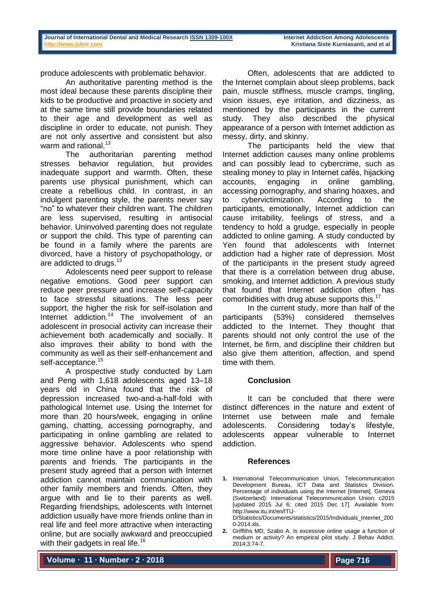produce adolescents with problematic behavior.

An authoritative parenting method is the most ideal because these parents discipline their kids to be productive and proactive in society and at the same time still provide boundaries related to their age and development as well as discipline in order to educate, not punish. They are not only assertive and consistent but also warm and rational.<sup>13</sup>

The authoritarian parenting method stresses behavior regulation, but provides inadequate support and warmth. Often, these parents use physical punishment, which can create a rebellious child. In contrast, in an indulgent parenting style, the parents never say "no" to whatever their children want. The children are less supervised, resulting in antisocial behavior. Uninvolved parenting does not regulate or support the child. This type of parenting can be found in a family where the parents are divorced, have a history of psychopathology, or are addicted to drugs.<sup>13</sup>

Adolescents need peer support to release negative emotions. Good peer support can reduce peer pressure and increase self-capacity to face stressful situations. The less peer support, the higher the risk for self-isolation and Internet addiction.<sup>14</sup> The involvement of an adolescent in prosocial activity can increase their achievement both academically and socially. It also improves their ability to bond with the community as well as their self-enhancement and self-acceptance.<sup>15</sup>

A prospective study conducted by Lam and Peng with 1,618 adolescents aged 13–18 years old in China found that the risk of depression increased two-and-a-half-fold with pathological Internet use. Using the Internet for more than 20 hours/week, engaging in online gaming, chatting, accessing pornography, and participating in online gambling are related to aggressive behavior. Adolescents who spend more time online have a poor relationship with parents and friends. The participants in the present study agreed that a person with Internet addiction cannot maintain communication with other family members and friends. Often, they argue with and lie to their parents as well. Regarding friendships, adolescents with Internet addiction usually have more friends online than in real life and feel more attractive when interacting online, but are socially awkward and preoccupied with their gadgets in real life.<sup>16</sup>

Often, adolescents that are addicted to the Internet complain about sleep problems, back pain, muscle stiffness, muscle cramps, tingling, vision issues, eye irritation, and dizziness, as mentioned by the participants in the current study. They also described the physical appearance of a person with Internet addiction as messy, dirty, and skinny.

The participants held the view that Internet addiction causes many online problems and can possibly lead to cybercrime, such as stealing money to play in Internet cafés, hijacking accounts, engaging in online gambling, accessing pornography, and sharing hoaxes, and to cybervictimization. According to the participants, emotionally, Internet addiction can cause irritability, feelings of stress, and a tendency to hold a grudge, especially in people addicted to online gaming. A study conducted by Yen found that adolescents with Internet addiction had a higher rate of depression. Most of the participants in the present study agreed that there is a correlation between drug abuse, smoking, and Internet addiction. A previous study that found that Internet addiction often has comorbidities with drug abuse supports this. 17

In the current study, more than half of the participants (53%) considered themselves addicted to the Internet. They thought that parents should not only control the use of the Internet, be firm, and discipline their children but also give them attention, affection, and spend time with them.

## **Conclusion**

It can be concluded that there were distinct differences in the nature and extent of Internet use between male and female adolescents. Considering today's lifestyle, adolescents appear vulnerable to Internet addiction.

#### **References**

**1.** International Telecommunication Union, Telecommunication Development Bureau, ICT Data and Statistics Division. Percentage of individuals using the Internet [Internet]. Geneva (Switzerland): International Telecommunication Union; c2015 [updated 2015 Jul 6; cited 2015 Dec 17]. Available from: http://www.itu.int/en/ITU-D/Statistics/Documents/statistics/2015/Individuals\_Internet\_200

0-2014.xls.

**2.** Griffiths MD, Szabo A. Is excessive online usage a function of medium or activity? An empirical pilot study. J Behav Addict. 2014;3:74-7.

**Volume ∙ 11 ∙ Number ∙ 2 ∙ 2018**